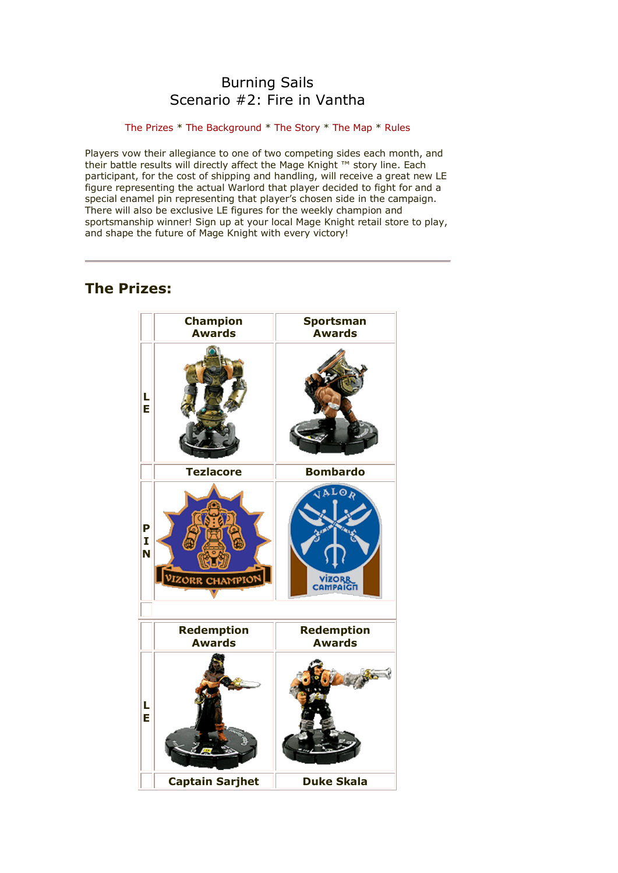# Burning Sails Scenario #2: Fire in Vantha

## [The Prizes](http://www.wizkidsgames.com/mageknight/article.asp?cid=37147&frame=Talesfromtheland#prizes#prizes) \* [The Background](http://www.wizkidsgames.com/mageknight/article.asp?cid=37147&frame=Talesfromtheland#background#background) \* [The Story](http://www.wizkidsgames.com/mageknight/article.asp?cid=37147&frame=Talesfromtheland#story#story) \* [The Map](http://www.wizkidsgames.com/mageknight/article.asp?cid=37147&frame=Talesfromtheland#map#map) \* [Rules](http://www.wizkidsgames.com/mageknight/article.asp?cid=37147&frame=Talesfromtheland#week#week)

Players vow their allegiance to one of two competing sides each month, and their battle results will directly affect the Mage Knight ™ story line. Each participant, for the cost of shipping and handling, will receive a great new LE figure representing the actual Warlord that player decided to fight for and a special enamel pin representing that player's chosen side in the campaign. There will also be exclusive LE figures for the weekly champion and sportsmanship winner! Sign up at your local Mage Knight retail store to play, and shape the future of Mage Knight with every victory!

# **The Prizes:**

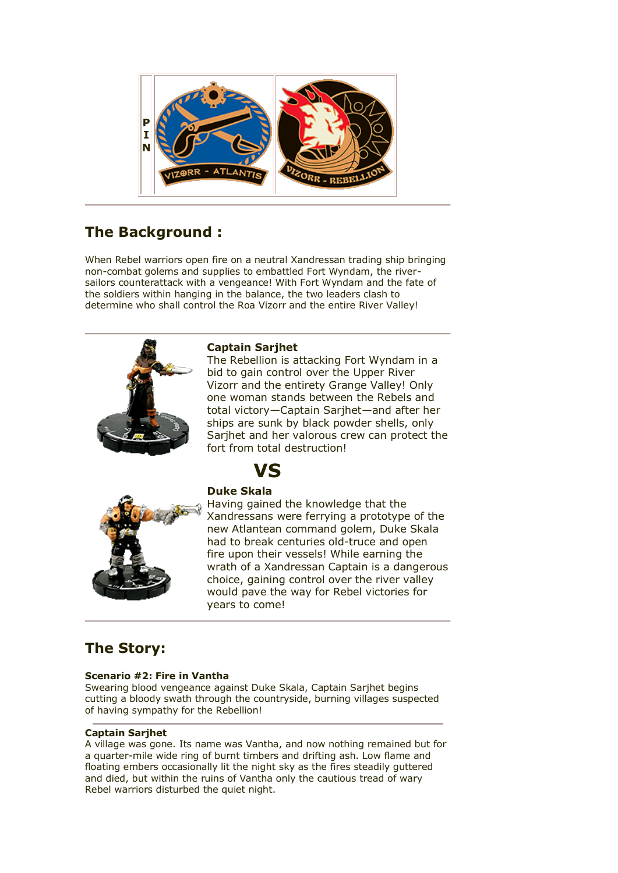

# **The Background :**

When Rebel warriors open fire on a neutral Xandressan trading ship bringing non-combat golems and supplies to embattled Fort Wyndam, the riversailors counterattack with a vengeance! With Fort Wyndam and the fate of the soldiers within hanging in the balance, the two leaders clash to determine who shall control the Roa Vizorr and the entire River Valley!



## **Captain Sarjhet**

The Rebellion is attacking Fort Wyndam in a bid to gain control over the Upper River Vizorr and the entirety Grange Valley! Only one woman stands between the Rebels and total victory—Captain Sarjhet—and after her ships are sunk by black powder shells, only Sarjhet and her valorous crew can protect the fort from total destruction!



# **Duke Skala**

**VS**

Having gained the knowledge that the Xandressans were ferrying a prototype of the new Atlantean command golem, Duke Skala had to break centuries old-truce and open fire upon their vessels! While earning the wrath of a Xandressan Captain is a dangerous choice, gaining control over the river valley would pave the way for Rebel victories for years to come!

# **The Story:**

# **Scenario #2: Fire in Vantha**

Swearing blood vengeance against Duke Skala, Captain Sarjhet begins cutting a bloody swath through the countryside, burning villages suspected of having sympathy for the Rebellion!

# **Captain Sarjhet**

A village was gone. Its name was Vantha, and now nothing remained but for a quarter-mile wide ring of burnt timbers and drifting ash. Low flame and floating embers occasionally lit the night sky as the fires steadily guttered and died, but within the ruins of Vantha only the cautious tread of wary Rebel warriors disturbed the quiet night.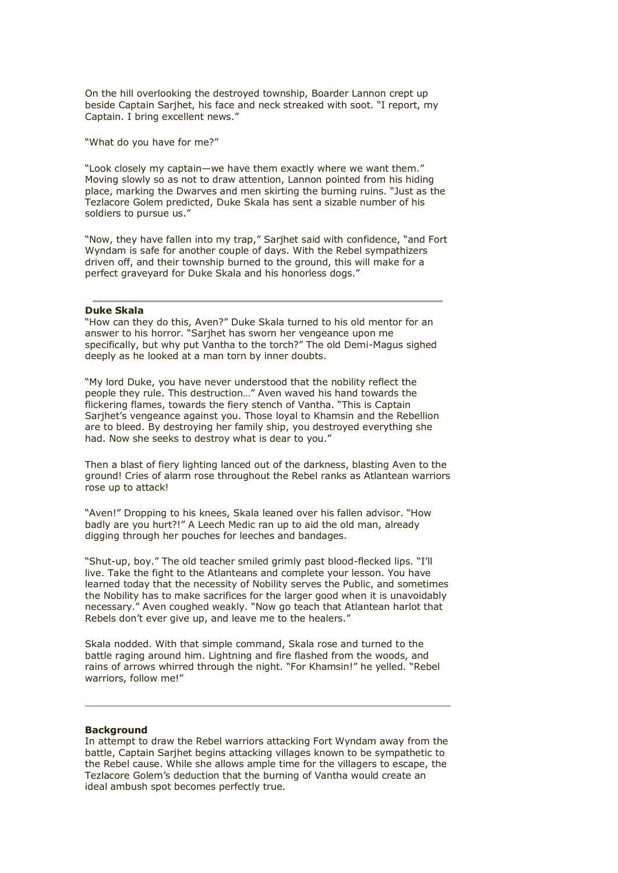On the hill overlooking the destroyed township, Boarder Lannon crept up beside Captain Sarjhet, his face and neck streaked with soot. "I report, my Captain. I bring excellent news."

"What do you have for me?"

"Look closely my captain—we have them exactly where we want them." Moving slowly so as not to draw attention, Lannon pointed from his hiding place, marking the Dwarves and men skirting the burning ruins. "Just as the Tezlacore Golem predicted, Duke Skala has sent a sizable number of his soldiers to pursue us."

"Now, they have fallen into my trap," Sarjhet said with confidence, "and Fort Wyndam is safe for another couple of days. With the Rebel sympathizers driven off, and their township burned to the ground, this will make for a perfect graveyard for Duke Skala and his honorless dogs."

### **Duke Skala**

"How can they do this, Aven?" Duke Skala turned to his old mentor for an answer to his horror. "Sarjhet has sworn her vengeance upon me specifically, but why put Vantha to the torch?" The old Demi-Magus sighed deeply as he looked at a man torn by inner doubts.

"My lord Duke, you have never understood that the nobility reflect the people they rule. This destruction…" Aven waved his hand towards the flickering flames, towards the fiery stench of Vantha. "This is Captain Sarjhet's vengeance against you. Those loyal to Khamsin and the Rebellion are to bleed. By destroying her family ship, you destroyed everything she had. Now she seeks to destroy what is dear to you."

Then a blast of fiery lighting lanced out of the darkness, blasting Aven to the ground! Cries of alarm rose throughout the Rebel ranks as Atlantean warriors rose up to attack!

"Aven!" Dropping to his knees, Skala leaned over his fallen advisor. "How badly are you hurt?!" A Leech Medic ran up to aid the old man, already digging through her pouches for leeches and bandages.

"Shut-up, boy." The old teacher smiled grimly past blood-flecked lips. "I'll live. Take the fight to the Atlanteans and complete your lesson. You have learned today that the necessity of Nobility serves the Public, and sometimes the Nobility has to make sacrifices for the larger good when it is unavoidably necessary." Aven coughed weakly. "Now go teach that Atlantean harlot that Rebels don't ever give up, and leave me to the healers."

Skala nodded. With that simple command, Skala rose and turned to the battle raging around him. Lightning and fire flashed from the woods, and rains of arrows whirred through the night. "For Khamsin!" he yelled. "Rebel warriors, follow me!"

#### **Background**

In attempt to draw the Rebel warriors attacking Fort Wyndam away from the battle, Captain Sarjhet begins attacking villages known to be sympathetic to the Rebel cause. While she allows ample time for the villagers to escape, the Tezlacore Golem's deduction that the burning of Vantha would create an ideal ambush spot becomes perfectly true.